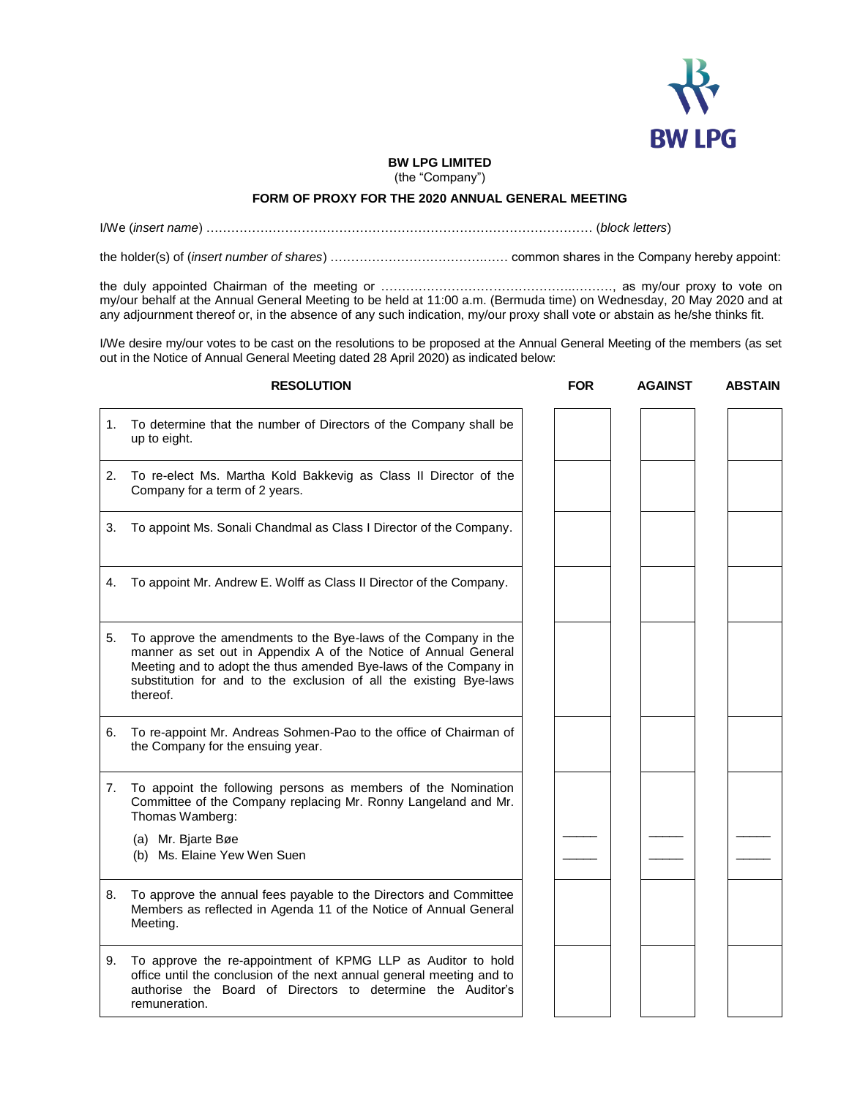

## **BW LPG LIMITED**

(the "Company")

## **FORM OF PROXY FOR THE 2020 ANNUAL GENERAL MEETING**

I/We (*insert name*) ………………………………………………………………………………… (*block letters*)

the holder(s) of (*insert number of shares*) ……………………………….…… common shares in the Company hereby appoint:

the duly appointed Chairman of the meeting or ………………………………………..………, as my/our proxy to vote on my/our behalf at the Annual General Meeting to be held at 11:00 a.m. (Bermuda time) on Wednesday, 20 May 2020 and at any adjournment thereof or, in the absence of any such indication, my/our proxy shall vote or abstain as he/she thinks fit.

I/We desire my/our votes to be cast on the resolutions to be proposed at the Annual General Meeting of the members (as set out in the Notice of Annual General Meeting dated 28 April 2020) as indicated below:

|    | <b>RESOLUTION</b>                                                                                                                                                                                                                                                                        | <b>FOR</b> | <b>AGAINST</b> | <b>ABSTAIN</b> |
|----|------------------------------------------------------------------------------------------------------------------------------------------------------------------------------------------------------------------------------------------------------------------------------------------|------------|----------------|----------------|
| 1. | To determine that the number of Directors of the Company shall be<br>up to eight.                                                                                                                                                                                                        |            |                |                |
| 2. | To re-elect Ms. Martha Kold Bakkevig as Class II Director of the<br>Company for a term of 2 years.                                                                                                                                                                                       |            |                |                |
| 3. | To appoint Ms. Sonali Chandmal as Class I Director of the Company.                                                                                                                                                                                                                       |            |                |                |
| 4. | To appoint Mr. Andrew E. Wolff as Class II Director of the Company.                                                                                                                                                                                                                      |            |                |                |
| 5. | To approve the amendments to the Bye-laws of the Company in the<br>manner as set out in Appendix A of the Notice of Annual General<br>Meeting and to adopt the thus amended Bye-laws of the Company in<br>substitution for and to the exclusion of all the existing Bye-laws<br>thereof. |            |                |                |
| 6. | To re-appoint Mr. Andreas Sohmen-Pao to the office of Chairman of<br>the Company for the ensuing year.                                                                                                                                                                                   |            |                |                |
| 7. | To appoint the following persons as members of the Nomination<br>Committee of the Company replacing Mr. Ronny Langeland and Mr.<br>Thomas Wamberg:                                                                                                                                       |            |                |                |
|    | (a) Mr. Bjarte Bøe<br>(b) Ms. Elaine Yew Wen Suen                                                                                                                                                                                                                                        |            |                |                |
| 8. | To approve the annual fees payable to the Directors and Committee<br>Members as reflected in Agenda 11 of the Notice of Annual General<br>Meeting.                                                                                                                                       |            |                |                |
| 9. | To approve the re-appointment of KPMG LLP as Auditor to hold<br>office until the conclusion of the next annual general meeting and to<br>authorise the Board of Directors to determine the Auditor's<br>remuneration.                                                                    |            |                |                |